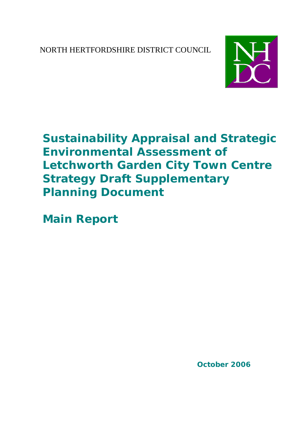NORTH HERTFORDSHIRE DISTRICT COUNCIL



# **Sustainability Appraisal and Strategic Environmental Assessment of Letchworth Garden City Town Centre Strategy Draft Supplementary Planning Document**

**Main Report**

**October 2006**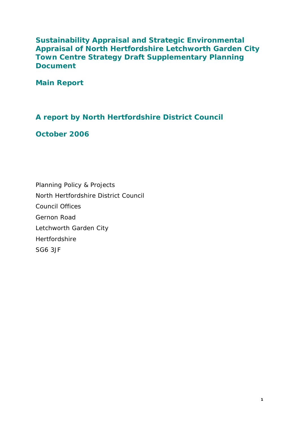**Sustainability Appraisal and Strategic Environmental Appraisal of North Hertfordshire Letchworth Garden City Town Centre Strategy Draft Supplementary Planning Document**

**Main Report**

### **A report by North Hertfordshire District Council**

### **October 2006**

Planning Policy & Projects North Hertfordshire District Council Council Offices Gernon Road Letchworth Garden City Hertfordshire SG6 3JF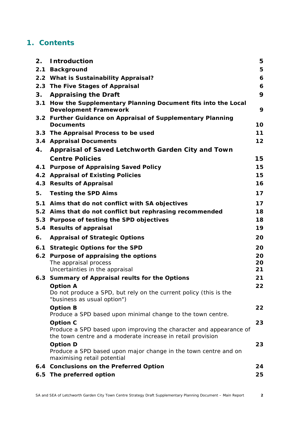### **1. Contents**

| 2.  | <b>Introduction</b>                                                                                                                                  | 5  |
|-----|------------------------------------------------------------------------------------------------------------------------------------------------------|----|
| 2.1 | <b>Background</b>                                                                                                                                    | 5  |
|     | 2.2 What is Sustainability Appraisal?                                                                                                                | 6  |
|     | 2.3 The Five Stages of Appraisal                                                                                                                     | 6  |
| 3.  | <b>Appraising the Draft</b>                                                                                                                          | 9  |
| 3.1 | How the Supplementary Planning Document fits into the Local<br><b>Development Framework</b>                                                          | 9  |
|     | 3.2 Further Guidance on Appraisal of Supplementary Planning<br><b>Documents</b>                                                                      | 10 |
|     | 3.3 The Appraisal Process to be used                                                                                                                 | 11 |
|     | 3.4 Appraisal Documents                                                                                                                              | 12 |
| 4.  | Appraisal of Saved Letchworth Garden City and Town                                                                                                   |    |
|     | <b>Centre Policies</b>                                                                                                                               | 15 |
|     | 4.1 Purpose of Appraising Saved Policy                                                                                                               | 15 |
|     | 4.2 Appraisal of Existing Policies                                                                                                                   | 15 |
|     | 4.3 Results of Appraisal                                                                                                                             | 16 |
| 5.  | <b>Testing the SPD Aims</b>                                                                                                                          | 17 |
|     | 5.1 Aims that do not conflict with SA objectives                                                                                                     | 17 |
|     | 5.2 Aims that do not conflict but rephrasing recommended                                                                                             | 18 |
|     | 5.3 Purpose of testing the SPD objectives                                                                                                            | 18 |
| 5.4 | <b>Results of appraisal</b>                                                                                                                          | 19 |
| 6.  | <b>Appraisal of Strategic Options</b>                                                                                                                | 20 |
|     | 6.1 Strategic Options for the SPD                                                                                                                    | 20 |
|     | 6.2 Purpose of appraising the options                                                                                                                | 20 |
|     | The appraisal process                                                                                                                                | 20 |
|     | Uncertainties in the appraisal                                                                                                                       | 21 |
|     | 6.3 Summary of Appraisal reults for the Options                                                                                                      | 21 |
|     | <b>Option A</b><br>Do not produce a SPD, but rely on the current policy (this is the<br>"business as usual option")                                  | 22 |
|     | <b>Option B</b><br>Produce a SPD based upon minimal change to the town centre.                                                                       | 22 |
|     | <b>Option C</b><br>Produce a SPD based upon improving the character and appearance of<br>the town centre and a moderate increase in retail provision | 23 |
|     | <b>Option D</b>                                                                                                                                      | 23 |
|     | Produce a SPD based upon major change in the town centre and on<br>maximising retail potential                                                       |    |
|     |                                                                                                                                                      |    |
|     | 6.4 Conclusions on the Preferred Option                                                                                                              | 24 |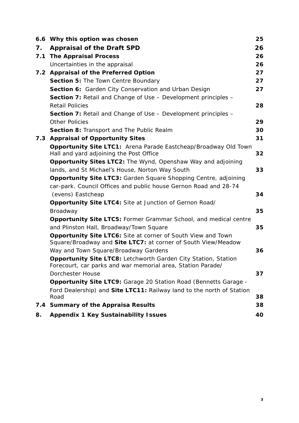|     | 6.6 Why this option was chosen                                                                                                | 25 |
|-----|-------------------------------------------------------------------------------------------------------------------------------|----|
| 7.  | <b>Appraisal of the Draft SPD</b>                                                                                             | 26 |
| 7.1 | <b>The Appraisal Process</b>                                                                                                  | 26 |
|     | Uncertainties in the appraisal                                                                                                | 26 |
|     | 7.2 Appraisal of the Preferred Option                                                                                         | 27 |
|     | Section 5: The Town Centre Boundary                                                                                           | 27 |
|     | Section 6: Garden City Conservation and Urban Design                                                                          | 27 |
|     | <b>Section 7: Retail and Change of Use - Development principles -</b>                                                         |    |
|     | <b>Retail Policies</b>                                                                                                        | 28 |
|     | <b>Section 7:</b> Retail and Change of Use – Development principles –                                                         |    |
|     | <b>Other Policies</b>                                                                                                         | 29 |
|     | Section 8: Transport and The Public Realm                                                                                     | 30 |
| 7.3 | <b>Appraisal of Opportunity Sites</b>                                                                                         | 31 |
|     | Opportunity Site LTC1: Arena Parade Eastcheap/Broadway Old Town<br>Hall and yard adjoining the Post Office                    | 32 |
|     | <b>Opportunity Sites LTC2:</b> The Wynd, Openshaw Way and adjoining                                                           |    |
|     | lands, and St Michael's House, Norton Way South                                                                               | 33 |
|     | <b>Opportunity Site LTC3: Garden Square Shopping Centre, adjoining</b>                                                        |    |
|     | car-park. Council Offices and public house Gernon Road and 28-74                                                              |    |
|     | (evens) Eastcheap                                                                                                             | 34 |
|     | Opportunity Site LTC4: Site at Junction of Gernon Road/                                                                       |    |
|     | Broadway                                                                                                                      | 35 |
|     | <b>Opportunity Site LTC5: Former Grammar School, and medical centre</b><br>and Plinston Hall, Broadway/Town Square            | 35 |
|     | <b>Opportunity Site LTC6:</b> Site at corner of South View and Town                                                           |    |
|     | Square/Broadway and Site LTC7: at corner of South View/Meadow                                                                 |    |
|     | Way and Town Square/Broadway Gardens                                                                                          | 36 |
|     | Opportunity Site LTC8: Letchworth Garden City Station, Station<br>Forecourt, car parks and war memorial area, Station Parade/ |    |
|     | <b>Dorchester House</b>                                                                                                       | 37 |
|     | <b>Opportunity Site LTC9: Garage 20 Station Road (Bennetts Garage -</b>                                                       |    |
|     | Ford Dealership) and Site LTC11: Railway land to the north of Station<br>Road                                                 | 38 |
| 7.4 | <b>Summary of the Appraisa Results</b>                                                                                        | 38 |
| 8.  | <b>Appendix 1 Key Sustainability Issues</b>                                                                                   | 40 |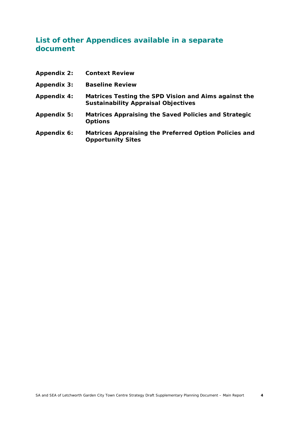### **List of other Appendices available in a separate document**

| <b>Appendix 2:</b> | <b>Context Review</b>                                                                              |
|--------------------|----------------------------------------------------------------------------------------------------|
| <b>Appendix 3:</b> | <b>Baseline Review</b>                                                                             |
| <b>Appendix 4:</b> | Matrices Testing the SPD Vision and Aims against the<br><b>Sustainability Appraisal Objectives</b> |
| Appendix 5:        | Matrices Appraising the Saved Policies and Strategic<br><b>Options</b>                             |
| Appendix 6:        | Matrices Appraising the Preferred Option Policies and<br><b>Opportunity Sites</b>                  |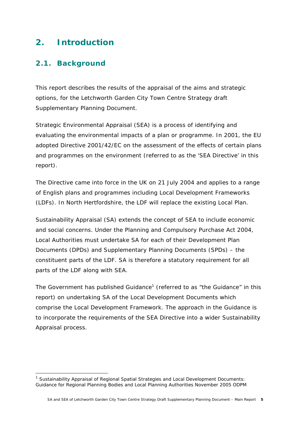# **2. Introduction**

### **2.1. Background**

This report describes the results of the appraisal of the aims and strategic options, for the Letchworth Garden City Town Centre Strategy draft Supplementary Planning Document.

Strategic Environmental Appraisal (SEA) is a process of identifying and evaluating the environmental impacts of a plan or programme. In 2001, the EU adopted Directive 2001/42/EC on the assessment of the effects of certain plans and programmes on the environment (referred to as the 'SEA Directive' in this report).

The Directive came into force in the UK on 21 July 2004 and applies to a range of English plans and programmes including Local Development Frameworks (LDFs). In North Hertfordshire, the LDF will replace the existing Local Plan.

Sustainability Appraisal (SA) extends the concept of SEA to include economic and social concerns. Under the Planning and Compulsory Purchase Act 2004, Local Authorities must undertake SA for each of their Development Plan Documents (DPDs) and Supplementary Planning Documents (SPDs) – the constituent parts of the LDF. SA is therefore a statutory requirement for all parts of the LDF along with SEA.

The Government has published Guidance<sup>1</sup> (referred to as "the Guidance" in this report) on undertaking SA of the Local Development Documents which comprise the Local Development Framework. The approach in the Guidance is to incorporate the requirements of the SEA Directive into a wider Sustainability Appraisal process.

<sup>1</sup> *Sustainability Appraisal of Regional Spatial Strategies and Local Development Documents: Guidance for Regional Planning Bodies and Local Planning Authorities* November 2005 ODPM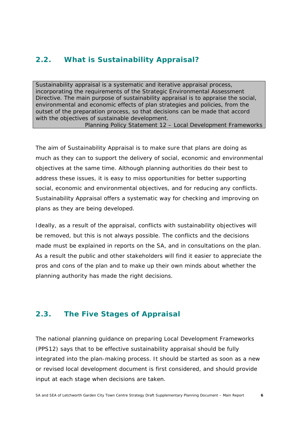### **2.2. What is Sustainability Appraisal?**

Sustainability appraisal is a systematic and iterative appraisal process, incorporating the requirements of the Strategic Environmental Assessment Directive. The main purpose of sustainability appraisal is to appraise the social, environmental and economic effects of plan strategies and policies, from the outset of the preparation process, so that decisions can be made that accord with the objectives of sustainable development.

*Planning Policy Statement 12 – Local Development Frameworks*

The aim of Sustainability Appraisal is to make sure that plans are doing as much as they can to support the delivery of social, economic and environmental objectives at the same time. Although planning authorities do their best to address these issues, it is easy to miss opportunities for better supporting social, economic and environmental objectives, and for reducing any conflicts. Sustainability Appraisal offers a systematic way for checking and improving on plans as they are being developed.

Ideally, as a result of the appraisal, conflicts with sustainability objectives will be removed, but this is not always possible. The conflicts and the decisions made must be explained in reports on the SA, and in consultations on the plan. As a result the public and other stakeholders will find it easier to appreciate the pros and cons of the plan and to make up their own minds about whether the planning authority has made the right decisions.

### **2.3. The Five Stages of Appraisal**

The national planning guidance on preparing Local Development Frameworks (PPS12) says that to be effective sustainability appraisal should be fully integrated into the plan-making process. It should be started as soon as a new or revised local development document is first considered, and should provide input at each stage when decisions are taken.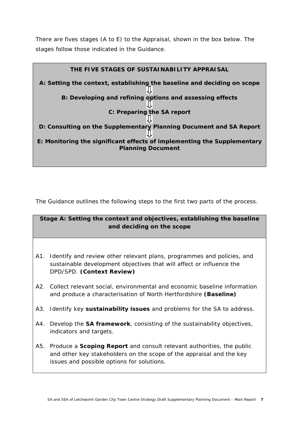There are fives stages (A to E) to the Appraisal, shown in the box below. The stages follow those indicated in the Guidance.



The Guidance outlines the following steps to the first two parts of the process.

#### **Stage A: Setting the context and objectives, establishing the baseline and deciding on the scope**

- A1. Identify and review other relevant plans, programmes and policies, and sustainable development objectives that will affect or influence the DPD/SPD. **(Context Review)**
- A2. Collect relevant social, environmental and economic baseline information and produce a characterisation of North Hertfordshire **(Baseline)**
- A3. Identify key **sustainability issues** and problems for the SA to address.
- A4. Develop the **SA framework**, consisting of the sustainability objectives, indicators and targets.
- A5. Produce a **Scoping Report** and consult relevant authorities, the public and other key stakeholders on the scope of the appraisal and the key issues and possible options for solutions.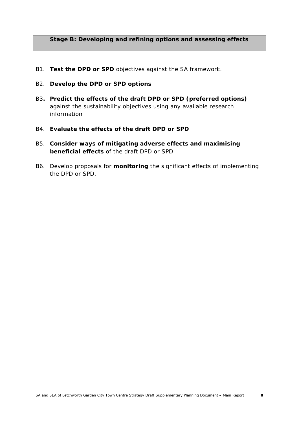#### **Stage B: Developing and refining options and assessing effects**

- B1. **Test the DPD or SPD** objectives against the SA framework.
- B2. **Develop the DPD or SPD options**
- B3**. Predict the effects of the draft DPD or SPD (preferred options)** against the sustainability objectives using any available research information
- B4. **Evaluate the effects of the draft DPD or SPD**
- B5. **Consider ways of mitigating adverse effects and maximising beneficial effects** of the draft DPD or SPD
- B6. Develop proposals for **monitoring** the significant effects of implementing the DPD or SPD.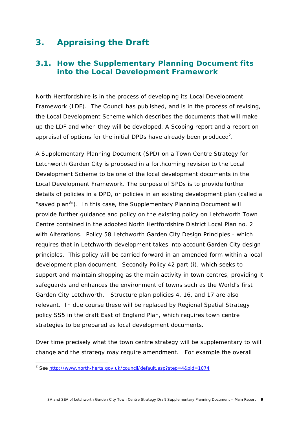# **3. Appraising the Draft**

### **3.1. How the Supplementary Planning Document fits into the Local Development Framework**

North Hertfordshire is in the process of developing its Local Development Framework (LDF). The Council has published, and is in the process of revising, the Local Development Scheme which describes the documents that will make up the LDF and when they will be developed. A Scoping report and a report on appraisal of options for the initial DPDs have already been produced<sup>2</sup>.

A Supplementary Planning Document (SPD) on a Town Centre Strategy for Letchworth Garden City is proposed in a forthcoming revision to the Local Development Scheme to be one of the local development documents in the Local Development Framework. The purpose of SPDs is to provide further details of policies in a DPD, or policies in an existing development plan (called a "saved plan<sup>3</sup>"). In this case, the Supplementary Planning Document will provide further guidance and policy on the existing policy on Letchworth Town Centre contained in the adopted North Hertfordshire District Local Plan no. 2 with Alterations. Policy 58 Letchworth Garden City Design Principles - which requires that in Letchworth development takes into account Garden City design principles. This policy will be carried forward in an amended form within a local development plan document. Secondly Policy 42 part (i), which seeks to support and maintain shopping as the main activity in town centres, providing it safeguards and enhances the environment of towns such as the World's first Garden City Letchworth. Structure plan policies 4, 16, and 17 are also relevant. In due course these will be replaced by Regional Spatial Strategy policy SS5 in the draft East of England Plan, which requires town centre strategies to be prepared as local development documents.

Over time precisely what the town centre strategy will be supplementary to will change and the strategy may require amendment. For example the overall

1

<sup>&</sup>lt;sup>2</sup> See <u>http://www.north-herts.gov.uk/council/default.asp?step=4&pid=1074</u>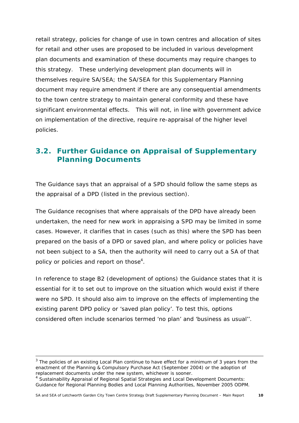retail strategy, policies for change of use in town centres and allocation of sites for retail and other uses are proposed to be included in various development plan documents and examination of these documents may require changes to this strategy. These underlying development plan documents will in themselves require SA/SEA; the SA/SEA for this Supplementary Planning document may require amendment if there are any consequential amendments to the town centre strategy to maintain general conformity and these have significant environmental effects. This will not, in line with government advice on implementation of the directive, require re-appraisal of the higher level policies.

### **3.2. Further Guidance on Appraisal of Supplementary Planning Documents**

The Guidance says that an appraisal of a SPD should follow the same steps as the appraisal of a DPD (listed in the previous section).

The Guidance recognises that where appraisals of the DPD have already been undertaken, the need for new work in appraising a SPD may be limited in some cases. However, it clarifies that in cases (such as this) where the SPD has been prepared on the basis of a DPD or saved plan, and where policy or policies have not been subject to a SA, then the authority will need to carry out a SA of that policy or policies and report on those<sup>4</sup>.

In reference to stage B2 (development of options) the Guidance states that it is essential for it to set out to improve on the situation which would exist if there were no SPD. It should also aim to improve on the effects of implementing the existing parent DPD policy or 'saved plan policy'. To test this, options considered often include scenarios termed 'no plan' and 'business as usual''.

<sup>&</sup>lt;sup>3</sup> The policies of an existing Local Plan continue to have effect for a minimum of 3 years from the enactment of the Planning & Compulsory Purchase Act (September 2004) or the adoption of replacement documents under the new system, whichever is sooner.

<sup>4</sup> *Sustainability Appraisal of Regional Spatial Strategies and Local Development Documents: Guidance for Regional Planning Bodies and Local Planning Authorities, November* 2005 ODPM.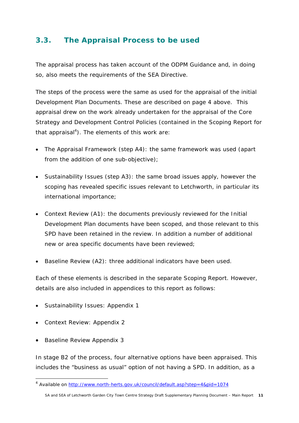### **3.3. The Appraisal Process to be used**

The appraisal process has taken account of the ODPM Guidance and, in doing so, also meets the requirements of the SEA Directive.

The steps of the process were the same as used for the appraisal of the initial Development Plan Documents. These are described on page 4 above. This appraisal drew on the work already undertaken for the appraisal of the Core Strategy and Development Control Policies (contained in the Scoping Report for that appraisal<sup>4</sup>). The elements of this work are:

- The Appraisal Framework (step A4): the same framework was used (apart from the addition of one sub-objective);
- Sustainability Issues (step A3): the same broad issues apply, however the scoping has revealed specific issues relevant to Letchworth, in particular its international importance;
- Context Review (A1): the documents previously reviewed for the Initial Development Plan documents have been scoped, and those relevant to this SPD have been retained in the review. In addition a number of additional new or area specific documents have been reviewed;
- Baseline Review (A2): three additional indicators have been used.

Each of these elements is described in the separate Scoping Report. However, details are also included in appendices to this report as follows:

- Sustainability Issues: Appendix 1
- Context Review: Appendix 2
- Baseline Review Appendix 3

In stage B2 of the process, four alternative options have been appraised. This includes the "business as usual" option of not having a SPD. In addition, as a

<sup>&</sup>lt;sup>4</sup> Available on http://www.north-herts.gov.uk/council/default.asp?step=4&pid=1074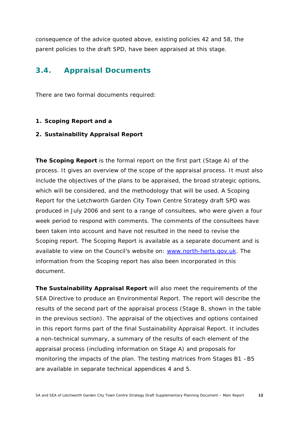consequence of the advice quoted above, existing policies 42 and 58, the parent policies to the draft SPD, have been appraised at this stage.

### **3.4. Appraisal Documents**

There are two formal documents required:

#### **1. Scoping Report and a**

#### **2. Sustainability Appraisal Report**

**The** *Scoping Report* is the formal report on the first part (Stage A) of the process. It gives an overview of the scope of the appraisal process. It must also include the objectives of the plans to be appraised, the broad strategic options, which will be considered, and the methodology that will be used. A Scoping Report for the Letchworth Garden City Town Centre Strategy draft SPD was produced in July 2006 and sent to a range of consultees, who were given a four week period to respond with comments. The comments of the consultees have been taken into account and have not resulted in the need to revise the Scoping report. The Scoping Report is available as a separate document and is available to view on the Council's website on: www.north-herts.gov.uk. The information from the Scoping report has also been incorporated in this document.

**The** *Sustainability Appraisal Report* will also meet the requirements of the SEA Directive to produce an Environmental Report. The report will describe the results of the second part of the appraisal process (Stage B, shown in the table in the previous section). The appraisal of the objectives and options contained in this report forms part of the final Sustainability Appraisal Report. It includes a non-technical summary, a summary of the results of each element of the appraisal process (including information on Stage A) and proposals for monitoring the impacts of the plan. The testing matrices from Stages B1 –B5 are available in separate technical appendices 4 and 5.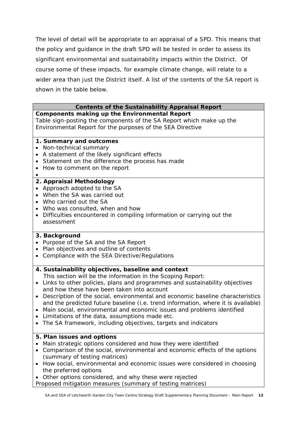The level of detail will be appropriate to an appraisal of a SPD. This means that the policy and guidance in the draft SPD will be tested in order to assess its significant environmental and sustainability impacts within the District. Of course some of these impacts, for example climate change, will relate to a wider area than just the District itself. A list of the contents of the SA report is shown in the table below.

#### **Contents of the Sustainability Appraisal Report**

**Components making up the Environmental Report** Table sign-posting the components of the SA Report which make up the Environmental Report for the purposes of the SEA Directive

#### **1. Summary and outcomes**

- Non-technical summary
- A statement of the likely significant effects
- Statement on the difference the process has made
- How to comment on the report
- •

#### **2. Appraisal Methodology**

- Approach adopted to the SA
- When the SA was carried out
- Who carried out the SA
- Who was consulted, when and how
- Difficulties encountered in compiling information or carrying out the assessment

#### **3. Background**

- Purpose of the SA and the SA Report
- Plan objectives and outline of contents
- Compliance with the SEA Directive/Regulations

#### **4. Sustainability objectives, baseline and context**

- This section will be the information in the Scoping Report:
- Links to other policies, plans and programmes and sustainability objectives and how these have been taken into account
- Description of the social, environmental and economic baseline characteristics and the predicted future baseline (i.e. trend information, where it is available)
- Main social, environmental and economic issues and problems identified
- Limitations of the data, assumptions made etc.
- The SA framework, including objectives, targets and indicators

#### **5. Plan issues and options**

- Main strategic options considered and how they were identified
- Comparison of the social, environmental and economic effects of the options (summary of testing matrices)
- How social, environmental and economic issues were considered in choosing the preferred options
- Other options considered, and why these were rejected

Proposed mitigation measures (summary of testing matrices)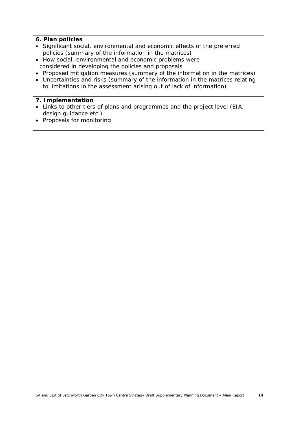#### **6. Plan policies**

- Significant social, environmental and economic effects of the preferred policies (summary of the information in the matrices)
- How social, environmental and economic problems were considered in developing the policies and proposals
- Proposed mitigation measures (summary of the information in the matrices)
- Uncertainties and risks (summary of the information in the matrices relating to limitations in the assessment arising out of lack of information)

#### **7. Implementation**

- Links to other tiers of plans and programmes and the project level (EIA, design guidance etc.)
- Proposals for monitoring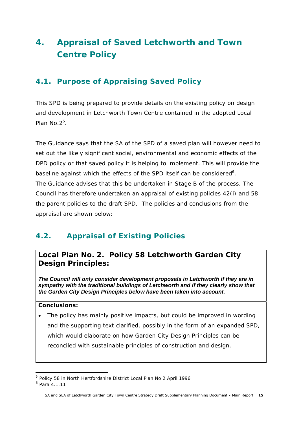# **4. Appraisal of Saved Letchworth and Town Centre Policy**

## **4.1. Purpose of Appraising Saved Policy**

This SPD is being prepared to provide details on the existing policy on design and development in Letchworth Town Centre contained in the adopted Local Plan  $No.2<sup>5</sup>$ .

The Guidance says that *the SA of the SPD of a saved plan will however need to set out the likely significant social, environmental and economic effects of the DPD policy or that saved policy it is helping to implement. This will provide the* baseline against which the effects of the SPD itself can be considered<sup>6</sup>. The Guidance advises that this be undertaken in Stage B of the process. The Council has therefore undertaken an appraisal of existing policies 42(i) and 58 the parent policies to the draft SPD. The policies and conclusions from the appraisal are shown below:

## **4.2. Appraisal of Existing Policies**

### **Local Plan No. 2. Policy 58 Letchworth Garden City Design Principles:**

*The Council will only consider development proposals in Letchworth if they are in sympathy with the traditional buildings of Letchworth and if they clearly show that the Garden City Design Principles below have been taken into account.*

#### **Conclusions:**

• The policy has mainly positive impacts, but could be improved in wording and the supporting text clarified, possibly in the form of an expanded SPD, which would elaborate on how Garden City Design Principles can be reconciled with sustainable principles of construction and design.

1

<sup>&</sup>lt;sup>5</sup> Policy 58 in North Hertfordshire District Local Plan No 2 April 1996

<sup>6</sup> Para 4.1.11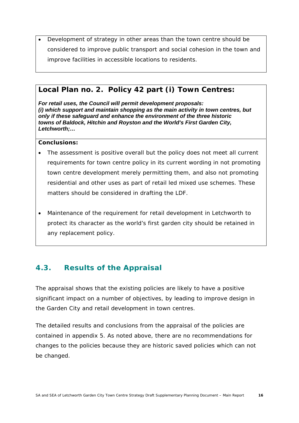• Development of strategy in other areas than the town centre should be considered to improve public transport and social cohesion in the town and improve facilities in accessible locations to residents.

### **Local Plan no. 2. Policy 42 part (i) Town Centres:**

*For retail uses, the Council will permit development proposals: (i) which support and maintain shopping as the main activity in town centres, but only if these safeguard and enhance the environment of the three historic towns of Baldock, Hitchin and Royston and the World's First Garden City, Letchworth;…*

#### **Conclusions:**

- The assessment is positive overall but the policy does not meet all current requirements for town centre policy in its current wording in not promoting town centre development merely permitting them, and also not promoting residential and other uses as part of retail led mixed use schemes. These matters should be considered in drafting the LDF.
- Maintenance of the requirement for retail development in Letchworth to protect its character as the world's first garden city should be retained in any replacement policy.

### **4.3. Results of the Appraisal**

The appraisal shows that the existing policies are likely to have a positive significant impact on a number of objectives, by leading to improve design in the Garden City and retail development in town centres.

The detailed results and conclusions from the appraisal of the policies are contained in appendix 5. As noted above, there are no recommendations for changes to the policies because they are historic saved policies which can not be changed.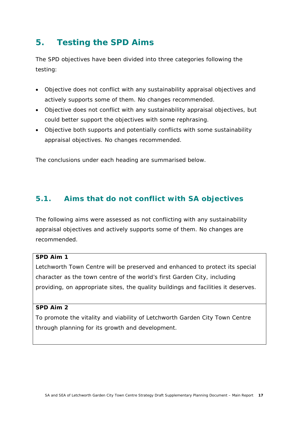# **5. Testing the SPD Aims**

The SPD objectives have been divided into three categories following the testing:

- Objective does not conflict with any sustainability appraisal objectives and actively supports some of them. No changes recommended.
- Objective does not conflict with any sustainability appraisal objectives, but could better support the objectives with some rephrasing.
- Objective both supports and potentially conflicts with some sustainability appraisal objectives. No changes recommended.

The conclusions under each heading are summarised below.

### **5.1. Aims that do not conflict with SA objectives**

The following aims were assessed as not conflicting with any sustainability appraisal objectives and actively supports some of them. No changes are recommended.

#### **SPD Aim 1**

Letchworth Town Centre will be preserved and enhanced to protect its special character as the town centre of the world's first Garden City, including providing, on appropriate sites, the quality buildings and facilities it deserves.

#### **SPD Aim 2**

To promote the vitality and viability of Letchworth Garden City Town Centre through planning for its growth and development.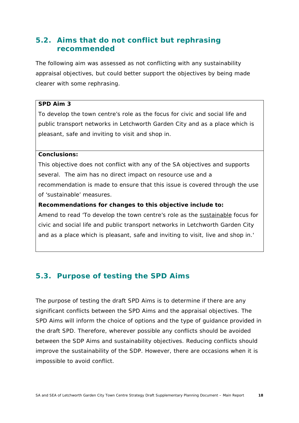### **5.2. Aims that do not conflict but rephrasing recommended**

The following aim was assessed as not conflicting with any sustainability appraisal objectives, but could better support the objectives by being made clearer with some rephrasing.

#### **SPD Aim 3**

To develop the town centre's role as the focus for civic and social life and public transport networks in Letchworth Garden City and as a place which is pleasant, safe and inviting to visit and shop in.

#### **Conclusions:**

This objective does not conflict with any of the SA objectives and supports several. The aim has no direct impact on resource use and a recommendation is made to ensure that this issue is covered through the use of 'sustainable' measures.

#### **Recommendations for changes to this objective include to:**

Amend to read 'To develop the town centre's role as the sustainable focus for civic and social life and public transport networks in Letchworth Garden City and as a place which is pleasant, safe and inviting to visit, live and shop in.'

### **5.3. Purpose of testing the SPD Aims**

The purpose of testing the draft SPD Aims is to determine if there are any significant conflicts between the SPD Aims and the appraisal objectives. The SPD Aims will inform the choice of options and the type of guidance provided in the draft SPD. Therefore, wherever possible any conflicts should be avoided between the SDP Aims and sustainability objectives. Reducing conflicts should improve the sustainability of the SDP. However, there are occasions when it is impossible to avoid conflict.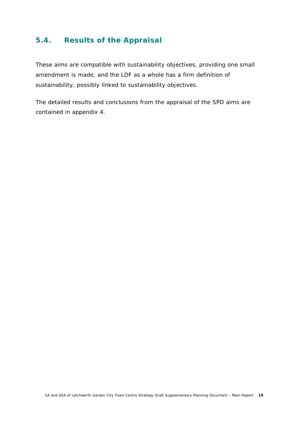### **5.4. Results of the Appraisal**

These aims are compatible with sustainability objectives, providing one small amendment is made, and the LDF as a whole has a firm definition of sustainability, possibly linked to sustainability objectives.

The detailed results and conclusions from the appraisal of the SPD aims are contained in appendix 4.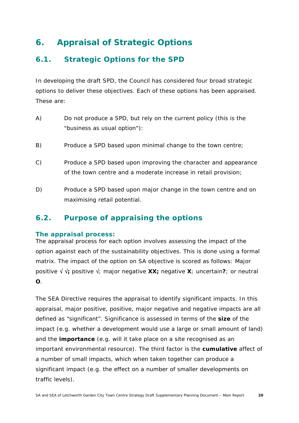# **6. Appraisal of Strategic Options**

### **6.1. Strategic Options for the SPD**

In developing the draft SPD, the Council has considered four broad strategic options to deliver these objectives. Each of these options has been appraised. These are:

- A) Do not produce a SPD, but rely on the current policy (this is the "business as usual option"):
- B) Produce a SPD based upon minimal change to the town centre;
- C) Produce a SPD based upon improving the character and appearance of the town centre and a moderate increase in retail provision;
- D) Produce a SPD based upon major change in the town centre and on maximising retail potential.

### **6.2. Purpose of appraising the options**

#### **The appraisal process:**

The appraisal process for each option involves assessing the impact of the option against each of the sustainability objectives. This is done using a formal matrix. The impact of the option on SA objective is scored as follows: Major positive √ √**;** positive √; major negative **XX;** negative **X**; uncertain**?**; or neutral **O**.

The SEA Directive requires the appraisal to identify significant impacts. In this appraisal, major positive, positive, major negative and negative impacts are all defined as "significant". Significance is assessed in terms of the **size** of the impact (e.g. whether a development would use a large or small amount of land) and the **importance** (e.g. will it take place on a site recognised as an important environmental resource). The third factor is the **cumulative** affect of a number of small impacts, which when taken together can produce a significant impact (e.g. the effect on a number of smaller developments on traffic levels).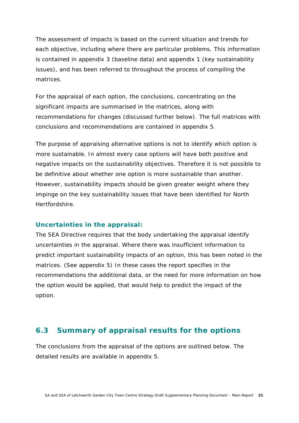The assessment of impacts is based on the current situation and trends for each objective, including where there are particular problems. This information is contained in appendix 3 (baseline data) and appendix 1 (key sustainability issues), and has been referred to throughout the process of compiling the matrices.

For the appraisal of each option, the conclusions, concentrating on the significant impacts are summarised in the matrices, along with recommendations for changes (discussed further below). The full matrices with conclusions and recommendations are contained in appendix 5.

The purpose of appraising alternative options is *not* to identify which option is more sustainable. In almost every case options will have both positive and negative impacts on the sustainability objectives. Therefore it is not possible to be definitive about whether one option is more sustainable than another. However, sustainability impacts should be given greater weight where they impinge on the key sustainability issues that have been identified for North Hertfordshire.

#### **Uncertainties in the appraisal:**

The SEA Directive requires that the body undertaking the appraisal identify uncertainties in the appraisal. Where there was insufficient information to predict important sustainability impacts of an option, this has been noted in the matrices. (See appendix 5) In these cases the report specifies in the recommendations the additional data, or the need for more information on how the option would be applied, that would help to predict the impact of the option.

### **6.3 Summary of appraisal results for the options**

The conclusions from the appraisal of the options are outlined below. The detailed results are available in appendix 5.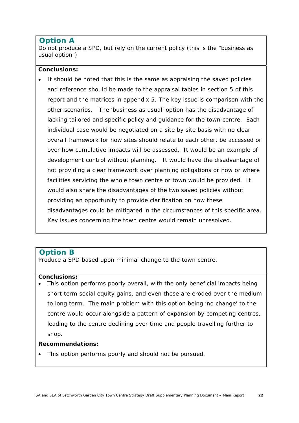### **Option A**

Do not produce a SPD, but rely on the current policy (this is the "business as usual option")

#### **Conclusions:**

• It should be noted that this is the same as appraising the saved policies and reference should be made to the appraisal tables in section 5 of this report and the matrices in appendix 5. The key issue is comparison with the other scenarios. The 'business as usual' option has the disadvantage of lacking tailored and specific policy and guidance for the town centre. Each individual case would be negotiated on a site by site basis with no clear overall framework for how sites should relate to each other, be accessed or over how cumulative impacts will be assessed. It would be an example of development control without planning. It would have the disadvantage of not providing a clear framework over planning obligations or how or where facilities servicing the whole town centre or town would be provided. It would also share the disadvantages of the two saved policies without providing an opportunity to provide clarification on how these disadvantages could be mitigated in the circumstances of this specific area. Key issues concerning the town centre would remain unresolved.

#### **Option B**

Produce a SPD based upon minimal change to the town centre.

#### **Conclusions:**

This option performs poorly overall, with the only beneficial impacts being short term social equity gains, and even these are eroded over the medium to long term. The main problem with this option being 'no change' to the centre would occur alongside a pattern of expansion by competing centres, leading to the centre declining over time and people travelling further to shop.

#### **Recommendations:**

• This option performs poorly and should not be pursued.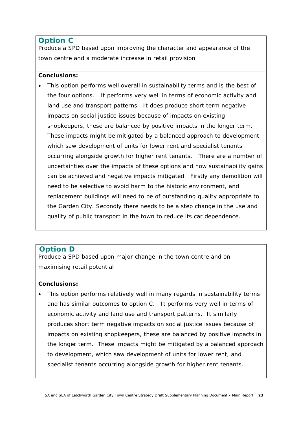### **Option C**

Produce a SPD based upon improving the character and appearance of the town centre and a moderate increase in retail provision

#### **Conclusions:**

• This option performs well overall in sustainability terms and is the best of the four options. It performs very well in terms of economic activity and land use and transport patterns. It does produce short term negative impacts on social justice issues because of impacts on existing shopkeepers, these are balanced by positive impacts in the longer term. These impacts might be mitigated by a balanced approach to development, which saw development of units for lower rent and specialist tenants occurring alongside growth for higher rent tenants. There are a number of uncertainties over the impacts of these options and how sustainability gains can be achieved and negative impacts mitigated. Firstly any demolition will need to be selective to avoid harm to the historic environment, and replacement buildings will need to be of outstanding quality appropriate to the Garden City. Secondly there needs to be a step change in the use and quality of public transport in the town to reduce its car dependence.

### **Option D**

Produce a SPD based upon major change in the town centre and on maximising retail potential

#### **Conclusions:**

• This option performs relatively well in many regards in sustainability terms and has similar outcomes to option C. It performs very well in terms of economic activity and land use and transport patterns. It similarly produces short term negative impacts on social justice issues because of impacts on existing shopkeepers, these are balanced by positive impacts in the longer term. These impacts might be mitigated by a balanced approach to development, which saw development of units for lower rent, and specialist tenants occurring alongside growth for higher rent tenants.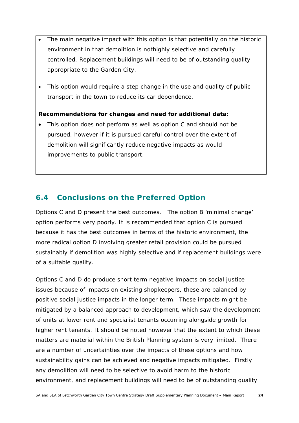- The main negative impact with this option is that potentially on the historic environment in that demolition is nothighly selective and carefully controlled. Replacement buildings will need to be of outstanding quality appropriate to the Garden City.
- This option would require a step change in the use and quality of public transport in the town to reduce its car dependence.

#### **Recommendations for changes and need for additional data:**

• This option does not perform as well as option C and should not be pursued, however if it is pursued careful control over the extent of demolition will significantly reduce negative impacts as would improvements to public transport.

### **6.4 Conclusions on the Preferred Option**

Options C and D present the best outcomes. The option B 'minimal change' option performs very poorly. It is recommended that option C is pursued because it has the best outcomes in terms of the historic environment, the more radical option D involving greater retail provision could be pursued sustainably if demolition was highly selective and if replacement buildings were of a suitable quality.

Options C and D do produce short term negative impacts on social justice issues because of impacts on existing shopkeepers, these are balanced by positive social justice impacts in the longer term. These impacts might be mitigated by a balanced approach to development, which saw the development of units at lower rent and specialist tenants occurring alongside growth for higher rent tenants. It should be noted however that the extent to which these matters are material within the British Planning system is very limited. There are a number of uncertainties over the impacts of these options and how sustainability gains can be achieved and negative impacts mitigated. Firstly any demolition will need to be selective to avoid harm to the historic environment, and replacement buildings will need to be of outstanding quality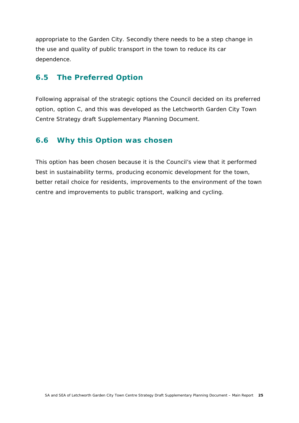appropriate to the Garden City. Secondly there needs to be a step change in the use and quality of public transport in the town to reduce its car dependence.

### **6.5 The Preferred Option**

Following appraisal of the strategic options the Council decided on its preferred option, option C, and this was developed as the Letchworth Garden City Town Centre Strategy draft Supplementary Planning Document.

### **6.6 Why this Option was chosen**

This option has been chosen because it is the Council's view that it performed best in sustainability terms, producing economic development for the town, better retail choice for residents, improvements to the environment of the town centre and improvements to public transport, walking and cycling.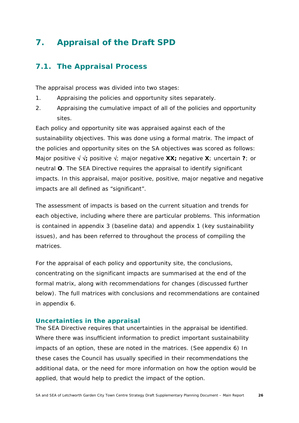# **7. Appraisal of the Draft SPD**

### **7.1. The Appraisal Process**

The appraisal process was divided into two stages:

- 1. Appraising the policies and opportunity sites separately.
- 2. Appraising the cumulative impact of all of the policies and opportunity sites.

Each policy and opportunity site was appraised against each of the sustainability objectives. This was done using a formal matrix. The impact of the policies and opportunity sites on the SA objectives was scored as follows: Major positive √ √**;** positive √; major negative **XX;** negative **X**; uncertain **?**; or neutral **O**. The SEA Directive requires the appraisal to identify significant impacts. In this appraisal, major positive, positive, major negative and negative impacts are all defined as "significant".

The assessment of impacts is based on the current situation and trends for each objective, including where there are particular problems. This information is contained in appendix 3 (baseline data) and appendix 1 (key sustainability issues), and has been referred to throughout the process of compiling the matrices.

For the appraisal of each policy and opportunity site, the conclusions, concentrating on the significant impacts are summarised at the end of the formal matrix, along with recommendations for changes (discussed further below). The full matrices with conclusions and recommendations are contained in appendix 6.

#### **Uncertainties in the appraisal**

The SEA Directive requires that uncertainties in the appraisal be identified. Where there was insufficient information to predict important sustainability impacts of an option, these are noted in the matrices. (See appendix 6) In these cases the Council has usually specified in their recommendations the additional data, or the need for more information on how the option would be applied, that would help to predict the impact of the option.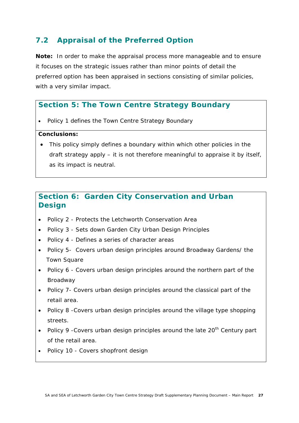### **7.2 Appraisal of the Preferred Option**

**Note:** In order to make the appraisal process more manageable and to ensure it focuses on the strategic issues rather than minor points of detail the preferred option has been appraised in sections consisting of similar policies, with a very similar impact.

### **Section 5: The Town Centre Strategy Boundary**

• Policy 1 defines the Town Centre Strategy Boundary

#### **Conclusions:**

• This policy simply defines a boundary within which other policies in the draft strategy apply – it is not therefore meaningful to appraise it by itself, as its impact is neutral.

### **Section 6: Garden City Conservation and Urban Design**

- Policy 2 Protects the Letchworth Conservation Area
- Policy 3 Sets down Garden City Urban Design Principles
- Policy 4 Defines a series of character areas
- Policy 5- Covers urban design principles around Broadway Gardens/ the Town Square
- Policy 6 Covers urban design principles around the northern part of the Broadway
- Policy 7- Covers urban design principles around the classical part of the retail area.
- Policy 8 -Covers urban design principles around the village type shopping streets.
- Policy 9 Covers urban design principles around the late 20<sup>th</sup> Century part of the retail area.
- Policy 10 Covers shopfront design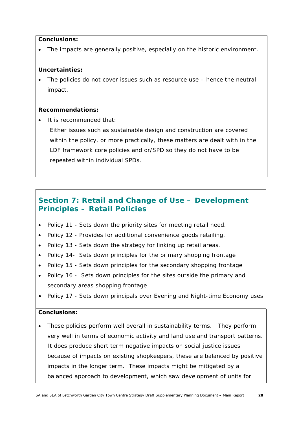#### **Conclusions:**

• The impacts are generally positive, especially on the historic environment.

#### **Uncertainties:**

• The policies do not cover issues such as resource use – hence the neutral impact.

#### **Recommendations:**

• It is recommended that:

Either issues such as sustainable design and construction are covered within the policy, or more practically, these matters are dealt with in the LDF framework core policies and or/SPD so they do not have to be repeated within individual SPDs.

### **Section 7: Retail and Change of Use – Development Principles – Retail Policies**

- Policy 11 Sets down the priority sites for meeting retail need.
- Policy 12 Provides for additional convenience goods retailing.
- Policy 13 Sets down the strategy for linking up retail areas.
- Policy 14- Sets down principles for the primary shopping frontage
- Policy 15 Sets down principles for the secondary shopping frontage
- Policy 16 Sets down principles for the sites outside the primary and secondary areas shopping frontage
- Policy 17 Sets down principals over Evening and Night-time Economy uses

#### **Conclusions:**

• These policies perform well overall in sustainability terms. They perform very well in terms of economic activity and land use and transport patterns. It does produce short term negative impacts on social justice issues because of impacts on existing shopkeepers, these are balanced by positive impacts in the longer term. These impacts might be mitigated by a balanced approach to development, which saw development of units for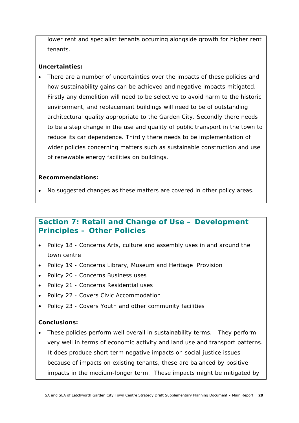lower rent and specialist tenants occurring alongside growth for higher rent tenants.

#### **Uncertainties:**

• There are a number of uncertainties over the impacts of these policies and how sustainability gains can be achieved and negative impacts mitigated. Firstly any demolition will need to be selective to avoid harm to the historic environment, and replacement buildings will need to be of outstanding architectural quality appropriate to the Garden City. Secondly there needs to be a step change in the use and quality of public transport in the town to reduce its car dependence. Thirdly there needs to be implementation of wider policies concerning matters such as sustainable construction and use of renewable energy facilities on buildings.

#### **Recommendations:**

• No suggested changes as these matters are covered in other policy areas.

### **Section 7: Retail and Change of Use – Development Principles – Other Policies**

- Policy 18 Concerns Arts, culture and assembly uses in and around the town centre
- Policy 19 Concerns Library, Museum and Heritage Provision
- Policy 20 Concerns Business uses
- Policy 21 Concerns Residential uses
- Policy 22 Covers Civic Accommodation
- Policy 23 Covers Youth and other community facilities

#### **Conclusions:**

• These policies perform well overall in sustainability terms. They perform very well in terms of economic activity and land use and transport patterns. It does produce short term negative impacts on social justice issues because of impacts on existing tenants, these are balanced by positive impacts in the medium-longer term. These impacts might be mitigated by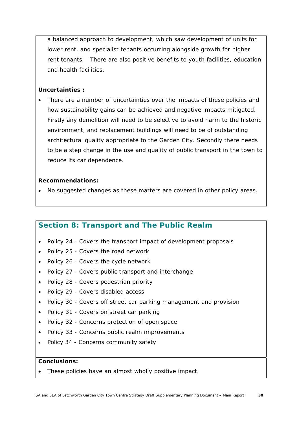a balanced approach to development, which saw development of units for lower rent, and specialist tenants occurring alongside growth for higher rent tenants. There are also positive benefits to youth facilities, education and health facilities.

#### **Uncertainties :**

• There are a number of uncertainties over the impacts of these policies and how sustainability gains can be achieved and negative impacts mitigated. Firstly any demolition will need to be selective to avoid harm to the historic environment, and replacement buildings will need to be of outstanding architectural quality appropriate to the Garden City. Secondly there needs to be a step change in the use and quality of public transport in the town to reduce its car dependence.

#### **Recommendations:**

• No suggested changes as these matters are covered in other policy areas.

### **Section 8: Transport and The Public Realm**

- Policy 24 Covers the transport impact of development proposals
- Policy 25 Covers the road network
- Policy 26 Covers the cycle network
- Policy 27 Covers public transport and interchange
- Policy 28 Covers pedestrian priority
- Policy 29 Covers disabled access
- Policy 30 Covers off street car parking management and provision
- Policy 31 Covers on street car parking
- Policy 32 Concerns protection of open space
- Policy 33 Concerns public realm improvements
- Policy 34 Concerns community safety

#### **Conclusions:**

These policies have an almost wholly positive impact.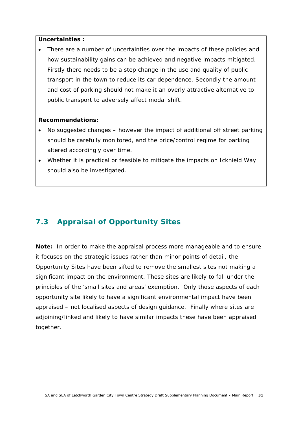#### **Uncertainties :**

There are a number of uncertainties over the impacts of these policies and how sustainability gains can be achieved and negative impacts mitigated. Firstly there needs to be a step change in the use and quality of public transport in the town to reduce its car dependence. Secondly the amount and cost of parking should not make it an overly attractive alternative to public transport to adversely affect modal shift.

#### **Recommendations:**

- No suggested changes however the impact of additional off street parking should be carefully monitored, and the price/control regime for parking altered accordingly over time.
- Whether it is practical or feasible to mitigate the impacts on Icknield Way should also be investigated.

### **7.3 Appraisal of Opportunity Sites**

**Note:** In order to make the appraisal process more manageable and to ensure it focuses on the strategic issues rather than minor points of detail, the Opportunity Sites have been sifted to remove the smallest sites not making a significant impact on the environment. These sites are likely to fall under the principles of the 'small sites and areas' exemption. Only those aspects of each opportunity site likely to have a significant environmental impact have been appraised – not localised aspects of design guidance. Finally where sites are adjoining/linked and likely to have similar impacts these have been appraised together.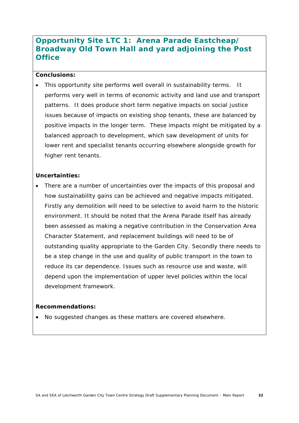### **Opportunity Site LTC 1: Arena Parade Eastcheap/ Broadway Old Town Hall and yard adjoining the Post Office**

#### **Conclusions:**

This opportunity site performs well overall in sustainability terms. It performs very well in terms of economic activity and land use and transport patterns. It does produce short term negative impacts on social justice issues because of impacts on existing shop tenants, these are balanced by positive impacts in the longer term. These impacts might be mitigated by a balanced approach to development, which saw development of units for lower rent and specialist tenants occurring elsewhere alongside growth for higher rent tenants.

#### **Uncertainties:**

• There are a number of uncertainties over the impacts of this proposal and how sustainability gains can be achieved and negative impacts mitigated. Firstly any demolition will need to be selective to avoid harm to the historic environment. It should be noted that the Arena Parade itself has already been assessed as making a negative contribution in the Conservation Area Character Statement, and replacement buildings will need to be of outstanding quality appropriate to the Garden City. Secondly there needs to be a step change in the use and quality of public transport in the town to reduce its car dependence. Issues such as resource use and waste, will depend upon the implementation of upper level policies within the local development framework.

#### **Recommendations:**

• No suggested changes as these matters are covered elsewhere.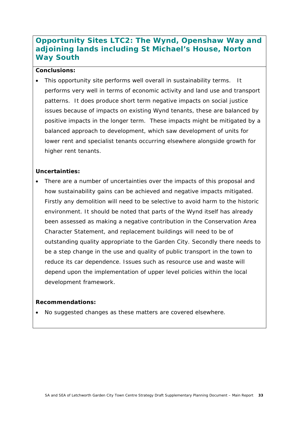### **Opportunity Sites LTC2: The Wynd, Openshaw Way and adjoining lands including St Michael's House, Norton Way South**

#### **Conclusions:**

This opportunity site performs well overall in sustainability terms. It performs very well in terms of economic activity and land use and transport patterns. It does produce short term negative impacts on social justice issues because of impacts on existing Wynd tenants, these are balanced by positive impacts in the longer term. These impacts might be mitigated by a balanced approach to development, which saw development of units for lower rent and specialist tenants occurring elsewhere alongside growth for higher rent tenants.

#### **Uncertainties:**

There are a number of uncertainties over the impacts of this proposal and how sustainability gains can be achieved and negative impacts mitigated. Firstly any demolition will need to be selective to avoid harm to the historic environment. It should be noted that parts of the Wynd itself has already been assessed as making a negative contribution in the Conservation Area Character Statement, and replacement buildings will need to be of outstanding quality appropriate to the Garden City. Secondly there needs to be a step change in the use and quality of public transport in the town to reduce its car dependence. Issues such as resource use and waste will depend upon the implementation of upper level policies within the local development framework.

#### **Recommendations:**

• No suggested changes as these matters are covered elsewhere.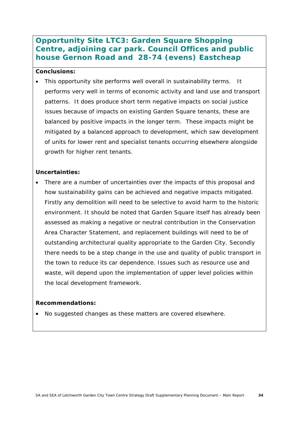### **Opportunity Site LTC3: Garden Square Shopping Centre, adjoining car park. Council Offices and public house Gernon Road and 28-74 (evens) Eastcheap**

#### **Conclusions:**

• This opportunity site performs well overall in sustainability terms. It performs very well in terms of economic activity and land use and transport patterns. It does produce short term negative impacts on social justice issues because of impacts on existing Garden Square tenants, these are balanced by positive impacts in the longer term. These impacts might be mitigated by a balanced approach to development, which saw development of units for lower rent and specialist tenants occurring elsewhere alongside growth for higher rent tenants.

#### **Uncertainties:**

There are a number of uncertainties over the impacts of this proposal and how sustainability gains can be achieved and negative impacts mitigated. Firstly any demolition will need to be selective to avoid harm to the historic environment. It should be noted that Garden Square itself has already been assessed as making a negative or neutral contribution in the Conservation Area Character Statement, and replacement buildings will need to be of outstanding architectural quality appropriate to the Garden City. Secondly there needs to be a step change in the use and quality of public transport in the town to reduce its car dependence. Issues such as resource use and waste, will depend upon the implementation of upper level policies within the local development framework.

#### **Recommendations:**

• No suggested changes as these matters are covered elsewhere.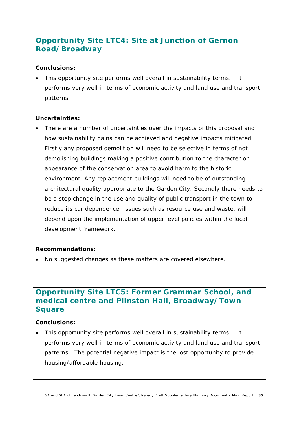### **Opportunity Site LTC4: Site at Junction of Gernon Road/Broadway**

#### **Conclusions:**

• This opportunity site performs well overall in sustainability terms. It performs very well in terms of economic activity and land use and transport patterns.

#### **Uncertainties:**

There are a number of uncertainties over the impacts of this proposal and how sustainability gains can be achieved and negative impacts mitigated. Firstly any proposed demolition will need to be selective in terms of not demolishing buildings making a positive contribution to the character or appearance of the conservation area to avoid harm to the historic environment. Any replacement buildings will need to be of outstanding architectural quality appropriate to the Garden City. Secondly there needs to be a step change in the use and quality of public transport in the town to reduce its car dependence. Issues such as resource use and waste, will depend upon the implementation of upper level policies within the local development framework.

#### **Recommendations**:

• No suggested changes as these matters are covered elsewhere.

### **Opportunity Site LTC5: Former Grammar School, and medical centre and Plinston Hall, Broadway/Town Square**

#### **Conclusions:**

• This opportunity site performs well overall in sustainability terms. It performs very well in terms of economic activity and land use and transport patterns. The potential negative impact is the lost opportunity to provide housing/affordable housing.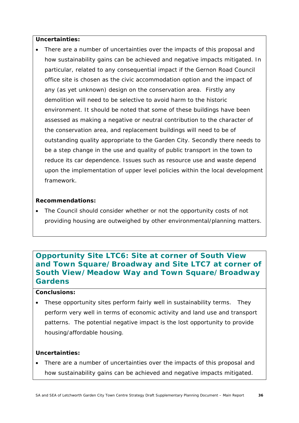#### **Uncertainties:**

There are a number of uncertainties over the impacts of this proposal and how sustainability gains can be achieved and negative impacts mitigated. In particular, related to any consequential impact if the Gernon Road Council office site is chosen as the civic accommodation option and the impact of any (as yet unknown) design on the conservation area. Firstly any demolition will need to be selective to avoid harm to the historic environment. It should be noted that some of these buildings have been assessed as making a negative or neutral contribution to the character of the conservation area, and replacement buildings will need to be of outstanding quality appropriate to the Garden City. Secondly there needs to be a step change in the use and quality of public transport in the town to reduce its car dependence. Issues such as resource use and waste depend upon the implementation of upper level policies within the local development framework.

#### **Recommendations:**

• The Council should consider whether or not the opportunity costs of not providing housing are outweighed by other environmental/planning matters.

### **Opportunity Site LTC6: Site at corner of South View and Town Square/Broadway and Site LTC7 at corner of South View/Meadow Way and Town Square/Broadway Gardens**

#### **Conclusions:**

• These opportunity sites perform fairly well in sustainability terms. They perform very well in terms of economic activity and land use and transport patterns. The potential negative impact is the lost opportunity to provide housing/affordable housing.

#### **Uncertainties:**

There are a number of uncertainties over the impacts of this proposal and how sustainability gains can be achieved and negative impacts mitigated.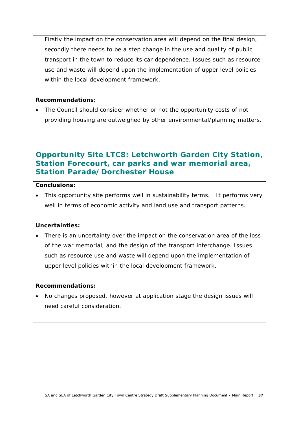Firstly the impact on the conservation area will depend on the final design, secondly there needs to be a step change in the use and quality of public transport in the town to reduce its car dependence. Issues such as resource use and waste will depend upon the implementation of upper level policies within the local development framework.

#### **Recommendations:**

• The Council should consider whether or not the opportunity costs of not providing housing are outweighed by other environmental/planning matters.

### **Opportunity Site LTC8: Letchworth Garden City Station, Station Forecourt, car parks and war memorial area, Station Parade/Dorchester House**

#### **Conclusions:**

• This opportunity site performs well in sustainability terms. It performs very well in terms of economic activity and land use and transport patterns.

#### **Uncertainties:**

• There is an uncertainty over the impact on the conservation area of the loss of the war memorial, and the design of the transport interchange. Issues such as resource use and waste will depend upon the implementation of upper level policies within the local development framework.

#### **Recommendations:**

• No changes proposed, however at application stage the design issues will need careful consideration.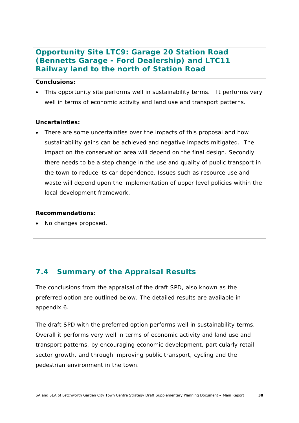### **Opportunity Site LTC9: Garage 20 Station Road (Bennetts Garage - Ford Dealership) and LTC11 Railway land to the north of Station Road**

#### **Conclusions:**

This opportunity site performs well in sustainability terms. It performs very well in terms of economic activity and land use and transport patterns.

#### **Uncertainties:**

• There are some uncertainties over the impacts of this proposal and how sustainability gains can be achieved and negative impacts mitigated. The impact on the conservation area will depend on the final design. Secondly there needs to be a step change in the use and quality of public transport in the town to reduce its car dependence. Issues such as resource use and waste will depend upon the implementation of upper level policies within the local development framework.

#### **Recommendations:**

• No changes proposed.

### **7.4 Summary of the Appraisal Results**

The conclusions from the appraisal of the draft SPD, also known as the preferred option are outlined below. The detailed results are available in appendix 6.

The draft SPD with the preferred option performs well in sustainability terms. Overall it performs very well in terms of economic activity and land use and transport patterns, by encouraging economic development, particularly retail sector growth, and through improving public transport, cycling and the pedestrian environment in the town.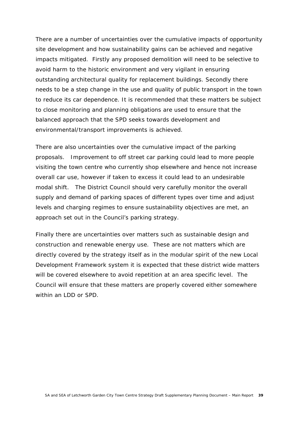There are a number of uncertainties over the cumulative impacts of opportunity site development and how sustainability gains can be achieved and negative impacts mitigated. Firstly any proposed demolition will need to be selective to avoid harm to the historic environment and very vigilant in ensuring outstanding architectural quality for replacement buildings. Secondly there needs to be a step change in the use and quality of public transport in the town to reduce its car dependence. It is recommended that these matters be subject to close monitoring and planning obligations are used to ensure that the balanced approach that the SPD seeks towards development and environmental/transport improvements is achieved.

There are also uncertainties over the cumulative impact of the parking proposals. Improvement to off street car parking could lead to more people visiting the town centre who currently shop elsewhere and hence not increase overall car use, however if taken to excess it could lead to an undesirable modal shift. The District Council should very carefully monitor the overall supply and demand of parking spaces of different types over time and adjust levels and charging regimes to ensure sustainability objectives are met, an approach set out in the Council's parking strategy.

Finally there are uncertainties over matters such as sustainable design and construction and renewable energy use. These are not matters which are directly covered by the strategy itself as in the modular spirit of the new Local Development Framework system it is expected that these district wide matters will be covered elsewhere to avoid repetition at an area specific level. The Council will ensure that these matters are properly covered either somewhere within an LDD or SPD.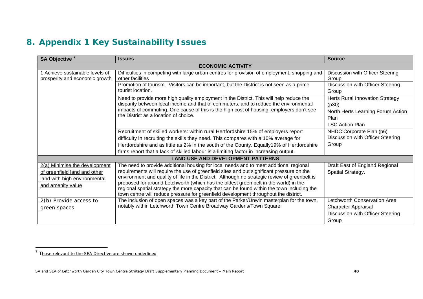# **8. Appendix 1 Key Sustainability Issues**

| SA Objective <sup>7</sup>                                                                                          | <b>Issues</b>                                                                                                                                                                                                                                                                                                                                                                                                                                                                                                                                                       | <b>Source</b>                                                                                                   |
|--------------------------------------------------------------------------------------------------------------------|---------------------------------------------------------------------------------------------------------------------------------------------------------------------------------------------------------------------------------------------------------------------------------------------------------------------------------------------------------------------------------------------------------------------------------------------------------------------------------------------------------------------------------------------------------------------|-----------------------------------------------------------------------------------------------------------------|
|                                                                                                                    | <b>ECONOMIC ACTIVITY</b>                                                                                                                                                                                                                                                                                                                                                                                                                                                                                                                                            |                                                                                                                 |
| 1 Achieve sustainable levels of<br>prosperity and economic growth                                                  | Difficulties in competing with large urban centres for provision of employment, shopping and<br>other facilities                                                                                                                                                                                                                                                                                                                                                                                                                                                    | Discussion with Officer Steering<br>Group                                                                       |
|                                                                                                                    | Promotion of tourism. Visitors can be important, but the District is not seen as a prime<br>tourist location.                                                                                                                                                                                                                                                                                                                                                                                                                                                       | Discussion with Officer Steering<br>Group                                                                       |
|                                                                                                                    | Need to provide more high quality employment in the District. This will help reduce the<br>disparity between local income and that of commuters, and to reduce the environmental<br>impacts of commuting. One cause of this is the high cost of housing; employers don't see<br>the District as a location of choice.                                                                                                                                                                                                                                               | Herts Rural Innovation Strategy<br>(p30)<br>North Herts Learning Forum Action<br>Plan<br><b>LSC Action Plan</b> |
|                                                                                                                    | Recruitment of skilled workers: within rural Hertfordshire 15% of employers report<br>difficulty in recruiting the skills they need. This compares with a 10% average for<br>Hertfordshire and as little as 2% in the south of the County. Equally19% of Hertfordshire<br>firms report that a lack of skilled labour is a limiting factor in increasing output.                                                                                                                                                                                                     | NHDC Corporate Plan (p6)<br>Discussion with Officer Steering<br>Group                                           |
|                                                                                                                    | <b>LAND USE AND DEVELOPMENT PATTERNS</b>                                                                                                                                                                                                                                                                                                                                                                                                                                                                                                                            |                                                                                                                 |
| 2(a) Minimise the development<br>of greenfield land and other<br>land with high environmental<br>and amenity value | The need to provide additional housing for local needs and to meet additional regional<br>requirements will require the use of greenfield sites and put significant pressure on the<br>environment and quality of life in the District. Although no strategic review of greenbelt is<br>proposed for around Letchworth (which has the oldest green belt in the world) in the<br>regional spatial strategy the more capacity that can be found within the town including the<br>town centre will reduce pressure for greenfield development throughout the district. | Draft East of England Regional<br>Spatial Strategy.                                                             |
| 2(b) Provide access to<br>green spaces                                                                             | The inclusion of open spaces was a key part of the Parker/Unwin masterplan for the town,<br>notably within Letchworth Town Centre Broadway Gardens/Town Square                                                                                                                                                                                                                                                                                                                                                                                                      | Letchworth Conservation Area<br><b>Character Appraisal</b><br>Discussion with Officer Steering<br>Group         |

<sup>7</sup> Those relevant to the SEA Directive are shown underlined

SA and SEA of Letchworth Garden City Town Centre Strategy Draft Supplementary Planning Document – Main Report **40**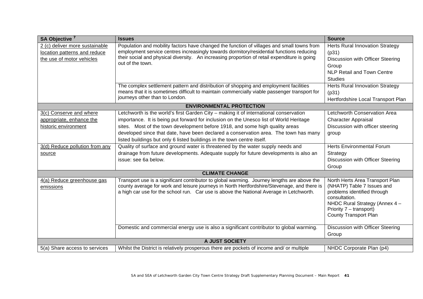| SA Objective <sup>7</sup>                                                                   | <b>Issues</b>                                                                                                                                                                                                                                                                                                                                                                                                                      | <b>Source</b>                                                                                                                                                                                              |
|---------------------------------------------------------------------------------------------|------------------------------------------------------------------------------------------------------------------------------------------------------------------------------------------------------------------------------------------------------------------------------------------------------------------------------------------------------------------------------------------------------------------------------------|------------------------------------------------------------------------------------------------------------------------------------------------------------------------------------------------------------|
| 2 (c) deliver more sustainable<br>location patterns and reduce<br>the use of motor vehicles | Population and mobility factors have changed the function of villages and small towns from<br>employment service centres increasingly towards dormitory/residential functions reducing<br>their social and physical diversity. An increasing proportion of retail expenditure is going<br>out of the town.                                                                                                                         | <b>Herts Rural Innovation Strategy</b><br>(p31)<br>Discussion with Officer Steering<br>Group<br><b>NLP Retail and Town Centre</b><br><b>Studies</b>                                                        |
|                                                                                             | The complex settlement pattern and distribution of shopping and employment facilities<br>means that it is sometimes difficult to maintain commercially viable passenger transport for<br>journeys other than to London.                                                                                                                                                                                                            | <b>Herts Rural Innovation Strategy</b><br>(p31)<br>Hertfordshire Local Transport Plan                                                                                                                      |
|                                                                                             | <b>ENVIRONMENTAL PROTECTION</b>                                                                                                                                                                                                                                                                                                                                                                                                    |                                                                                                                                                                                                            |
| 3(c) Conserve and where<br>appropriate, enhance the<br>historic environment                 | Letchworth is the world's first Garden City - making it of international conservation<br>importance. It is being put forward for inclusion on the Unesco list of World Heritage<br>sites. Most of the town development before 1918, and some high quality areas<br>developed since that date, have been declared a conservation area. The town has many<br>listed buildings but only 6 listed buildings in the town centre itself. | Letchworth Conservation Area<br><b>Character Appraisal</b><br>Discussion with officer steering<br>group                                                                                                    |
| 3(d) Reduce pollution from any<br>source                                                    | Quality of surface and ground water is threatened by the water supply needs and<br>drainage from future developments. Adequate supply for future developments is also an<br>issue: see 6a below.                                                                                                                                                                                                                                   | <b>Herts Environmental Forum</b><br>Strategy<br>Discussion with Officer Steering<br>Group                                                                                                                  |
|                                                                                             | <b>CLIMATE CHANGE</b>                                                                                                                                                                                                                                                                                                                                                                                                              |                                                                                                                                                                                                            |
| 4(a) Reduce greenhouse gas<br>emissions                                                     | Transport use is a significant contributor to global warming. Journey lengths are above the<br>county average for work and leisure journeys in North Hertfordshire/Stevenage, and there is<br>a high car use for the school run. Car use is above the National Average in Letchworth.                                                                                                                                              | North Herts Area Transport Plan<br>(NHATP) Table 7 Issues and<br>problems identified through<br>consultation.<br>NHDC Rural Strategy (Annex 4 -<br>Priority 7 – transport)<br><b>County Transport Plan</b> |
|                                                                                             | Domestic and commercial energy use is also a significant contributor to global warming.                                                                                                                                                                                                                                                                                                                                            | <b>Discussion with Officer Steering</b><br>Group                                                                                                                                                           |
| A JUST SOCIETY                                                                              |                                                                                                                                                                                                                                                                                                                                                                                                                                    |                                                                                                                                                                                                            |
| 5(a) Share access to services                                                               | Whilst the District is relatively prosperous there are pockets of income and/ or multiple                                                                                                                                                                                                                                                                                                                                          | NHDC Corporate Plan (p4)                                                                                                                                                                                   |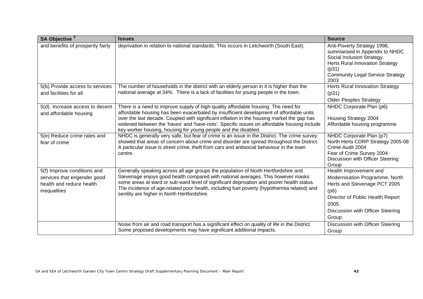| SA Objective <sup>7</sup>                                                                              | <b>Issues</b>                                                                                                                                                                                                                                                                                                                                                                                                                               | <b>Source</b>                                                                                                                                                                                     |
|--------------------------------------------------------------------------------------------------------|---------------------------------------------------------------------------------------------------------------------------------------------------------------------------------------------------------------------------------------------------------------------------------------------------------------------------------------------------------------------------------------------------------------------------------------------|---------------------------------------------------------------------------------------------------------------------------------------------------------------------------------------------------|
| and benefits of prosperity fairly                                                                      | deprivation in relation to national standards. This occurs in Letchworth (South East).                                                                                                                                                                                                                                                                                                                                                      | Anti-Poverty Strategy 1998,<br>summarised in Appendix to NHDC<br>Social Inclusion Strategy.<br><b>Herts Rural Innovation Strategy</b><br>(p31)<br><b>Community Legal Service Strategy</b><br>2003 |
| 5(b) Provide access to services<br>and facilities for all                                              | The number of households in the district with an elderly person in it is higher than the<br>national average at 34%. There is a lack of facilities for young people in the town.                                                                                                                                                                                                                                                            | <b>Herts Rural Innovation Strategy</b><br>(p31)<br><b>Older Peoples Strategy</b>                                                                                                                  |
| 5(d). Increase access to decent<br>and affordable housing                                              | There is a need to improve supply of high-quality affordable housing. The need for<br>affordable housing has been exacerbated by insufficient development of affordable units<br>over the last decade. Coupled with significant inflation in the housing market the gap has<br>widened between the 'haves' and 'have-nots'. Specific issues on affordable housing include<br>key worker housing, housing for young people and the disabled. | NHDC Corporate Plan (p6)<br>Housing Strategy 2004<br>Affordable housing programme                                                                                                                 |
| 5(e) Reduce crime rates and<br>fear of crime                                                           | NHDC is generally very safe, but fear of crime is an issue in the District. The crime survey<br>showed that areas of concern about crime and disorder are spread throughout the District.<br>A particular issue is street crime, theft from cars and antisocial behaviour in the town<br>centre.                                                                                                                                            | NHDC Corporate Plan (p7)<br>North Herts CDRP Strategy 2005-08<br>Crime Audit 2004<br>Fear of Crime Survey 2004<br>Discussion with Officer Steering<br>Group                                       |
| 5(f) Improve conditions and<br>services that engender good<br>health and reduce health<br>inequalities | Generally speaking across all age groups the population of North Hertfordshire and<br>Stevenage enjoys good health compared with national averages. This however masks<br>some areas at ward or sub-ward level of significant deprivation and poorer health status.<br>The incidence of age-related poor health, including fuel poverty (hypothermia related) and<br>senility are higher in North Hertfordshire.                            | Health Improvement and<br>Modernisation Programme, North<br>Herts and Stevenage PCT 2005<br>(p6)<br>Director of Public Health Report<br>2005<br>Discussion with Officer Steering<br>Group.        |
|                                                                                                        | Noise from air and road transport has a significant effect on quality of life in the District.<br>Some proposed developments may have significant additional impacts.                                                                                                                                                                                                                                                                       | Discussion with Officer Steering<br>Group                                                                                                                                                         |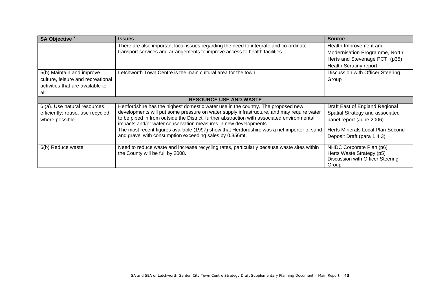| SA Objective <sup>7</sup>                                                                                 | <b>Issues</b>                                                                                                                                                                                                                                                                                                                                   | <b>Source</b>                                                                                                               |
|-----------------------------------------------------------------------------------------------------------|-------------------------------------------------------------------------------------------------------------------------------------------------------------------------------------------------------------------------------------------------------------------------------------------------------------------------------------------------|-----------------------------------------------------------------------------------------------------------------------------|
|                                                                                                           | There are also important local issues regarding the need to integrate and co-ordinate<br>transport services and arrangements to improve access to health facilities.                                                                                                                                                                            | Health Improvement and<br>Modernisation Programme, North<br>Herts and Stevenage PCT. (p35)<br><b>Health Scrutiny report</b> |
| 5(h) Maintain and improve<br>culture, leisure and recreational<br>activities that are available to<br>all | Letchworth Town Centre is the main cultural area for the town.                                                                                                                                                                                                                                                                                  | Discussion with Officer Steering<br>Group                                                                                   |
| <b>RESOURCE USE AND WASTE</b>                                                                             |                                                                                                                                                                                                                                                                                                                                                 |                                                                                                                             |
| 6 (a). Use natural resources<br>efficiently; reuse, use recycled<br>where possible                        | Hertfordshire has the highest domestic water use in the country. The proposed new<br>developments will put some pressure on water supply infrastructure, and may require water<br>to be piped in from outside the District, further abstraction with associated environmental<br>impacts and/or water conservation measures in new developments | Draft East of England Regional<br>Spatial Strategy and associated<br>panel report (June 2006)                               |
|                                                                                                           | The most recent figures available (1997) show that Hertfordshire was a net importer of sand<br>and gravel with consumption exceeding sales by 0.356mt.                                                                                                                                                                                          | Herts Minerals Local Plan Second<br>Deposit Draft (para 1.4.3)                                                              |
| 6(b) Reduce waste                                                                                         | Need to reduce waste and increase recycling rates, particularly because waste sites within<br>the County will be full by 2008.                                                                                                                                                                                                                  | NHDC Corporate Plan (p6)<br>Herts Waste Strategy (p5)<br>Discussion with Officer Steering<br>Group                          |